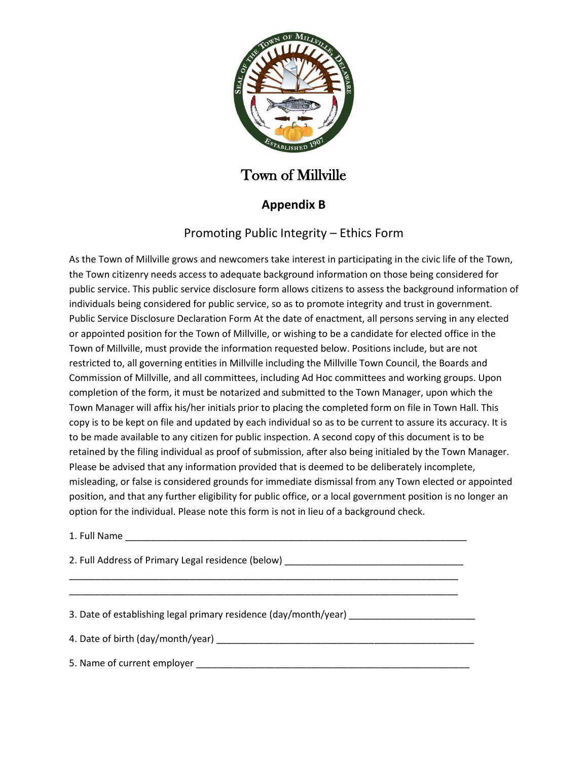

## Town of Millville

## **Appendix B**

## Promoting Public Integrity – Ethics Form

As the Town of Millville grows and newcomers take interest in participating in the civic life of the Town, the Town citizenry needs access to adequate background information on those being considered for public service. This public service disclosure form allows citizens to assess the background information of individuals being considered for public service, so as to promote integrity and trust in government. Public Service Disclosure Declaration Form At the date of enactment, all persons serving in any elected or appointed position for the Town of Millville, or wishing to be a candidate for elected office in the Town of Millville, must provide the information requested below. Positions include, but are not restricted to, all governing entities in Millville including the Millville Town Council, the Boards and Commission of Millville, and all committees, including Ad Hoc committees and working groups. Upon completion of the form, it must be notarized and submitted to the Town Manager, upon which the Town Manager will affix his/her initials prior to placing the completed form on file in Town Hall. This copy is to be kept on file and updated by each individual so as to be current to assure its accuracy. It is to be made available to any citizen for public inspection. A second copy of this document is to be retained by the filing individual as proof of submission, after also being initialed by the Town Manager. Please be advised that any information provided that is deemed to be deliberately incomplete, misleading, or false is considered grounds for immediate dismissal from any Town elected or appointed position, and that any further eligibility for public office, or a local government position is no longer an option for the individual. Please note this form is not in lieu of a background check.

1. Full Name

2. Full Address of Primary Legal residence (below) \_\_\_\_\_\_\_\_\_\_\_\_\_\_\_\_\_\_\_\_\_\_\_\_\_\_\_\_\_\_\_\_\_\_\_\_\_\_\_\_\_\_\_\_\_\_\_\_\_\_\_\_\_\_\_\_\_\_\_\_\_\_\_\_\_\_\_\_\_\_\_\_\_\_

\_\_\_\_\_\_\_\_\_\_\_\_\_\_\_\_\_\_\_\_\_\_\_\_\_\_\_\_\_\_\_\_\_\_\_\_\_\_\_\_\_\_\_\_\_\_\_\_\_\_\_\_\_\_\_\_\_\_\_\_\_\_\_\_\_\_\_\_\_\_\_\_\_\_

3. Date of establishing legal primary residence (day/month/year)

4. Date of birth (day/month/year)  $\blacksquare$ 

5. Name of current employer **example of the set of current** employer  $\blacksquare$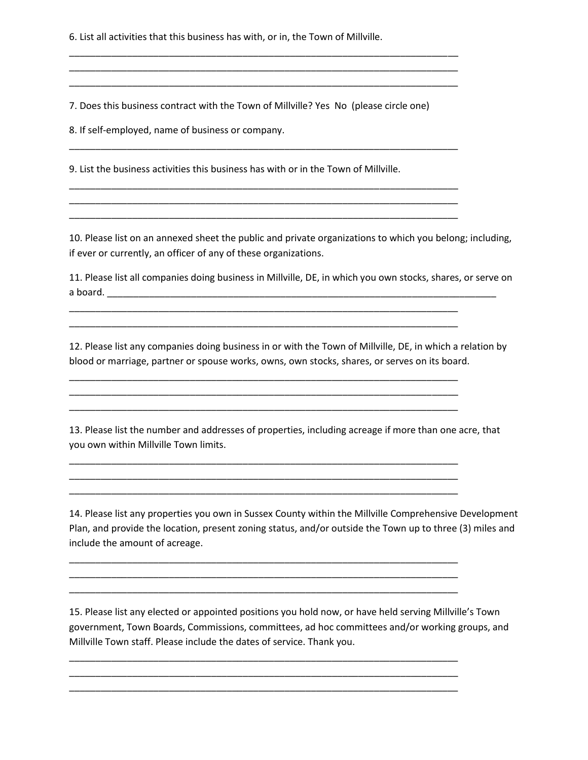6. List all activities that this business has with, or in, the Town of Millville.

7. Does this business contract with the Town of Millville? Yes No (please circle one)

\_\_\_\_\_\_\_\_\_\_\_\_\_\_\_\_\_\_\_\_\_\_\_\_\_\_\_\_\_\_\_\_\_\_\_\_\_\_\_\_\_\_\_\_\_\_\_\_\_\_\_\_\_\_\_\_\_\_\_\_\_\_\_\_\_\_\_\_\_\_\_\_\_\_ \_\_\_\_\_\_\_\_\_\_\_\_\_\_\_\_\_\_\_\_\_\_\_\_\_\_\_\_\_\_\_\_\_\_\_\_\_\_\_\_\_\_\_\_\_\_\_\_\_\_\_\_\_\_\_\_\_\_\_\_\_\_\_\_\_\_\_\_\_\_\_\_\_\_ \_\_\_\_\_\_\_\_\_\_\_\_\_\_\_\_\_\_\_\_\_\_\_\_\_\_\_\_\_\_\_\_\_\_\_\_\_\_\_\_\_\_\_\_\_\_\_\_\_\_\_\_\_\_\_\_\_\_\_\_\_\_\_\_\_\_\_\_\_\_\_\_\_\_

\_\_\_\_\_\_\_\_\_\_\_\_\_\_\_\_\_\_\_\_\_\_\_\_\_\_\_\_\_\_\_\_\_\_\_\_\_\_\_\_\_\_\_\_\_\_\_\_\_\_\_\_\_\_\_\_\_\_\_\_\_\_\_\_\_\_\_\_\_\_\_\_\_\_

\_\_\_\_\_\_\_\_\_\_\_\_\_\_\_\_\_\_\_\_\_\_\_\_\_\_\_\_\_\_\_\_\_\_\_\_\_\_\_\_\_\_\_\_\_\_\_\_\_\_\_\_\_\_\_\_\_\_\_\_\_\_\_\_\_\_\_\_\_\_\_\_\_\_ \_\_\_\_\_\_\_\_\_\_\_\_\_\_\_\_\_\_\_\_\_\_\_\_\_\_\_\_\_\_\_\_\_\_\_\_\_\_\_\_\_\_\_\_\_\_\_\_\_\_\_\_\_\_\_\_\_\_\_\_\_\_\_\_\_\_\_\_\_\_\_\_\_\_ \_\_\_\_\_\_\_\_\_\_\_\_\_\_\_\_\_\_\_\_\_\_\_\_\_\_\_\_\_\_\_\_\_\_\_\_\_\_\_\_\_\_\_\_\_\_\_\_\_\_\_\_\_\_\_\_\_\_\_\_\_\_\_\_\_\_\_\_\_\_\_\_\_\_

\_\_\_\_\_\_\_\_\_\_\_\_\_\_\_\_\_\_\_\_\_\_\_\_\_\_\_\_\_\_\_\_\_\_\_\_\_\_\_\_\_\_\_\_\_\_\_\_\_\_\_\_\_\_\_\_\_\_\_\_\_\_\_\_\_\_\_\_\_\_\_\_\_\_ \_\_\_\_\_\_\_\_\_\_\_\_\_\_\_\_\_\_\_\_\_\_\_\_\_\_\_\_\_\_\_\_\_\_\_\_\_\_\_\_\_\_\_\_\_\_\_\_\_\_\_\_\_\_\_\_\_\_\_\_\_\_\_\_\_\_\_\_\_\_\_\_\_\_

\_\_\_\_\_\_\_\_\_\_\_\_\_\_\_\_\_\_\_\_\_\_\_\_\_\_\_\_\_\_\_\_\_\_\_\_\_\_\_\_\_\_\_\_\_\_\_\_\_\_\_\_\_\_\_\_\_\_\_\_\_\_\_\_\_\_\_\_\_\_\_\_\_\_ \_\_\_\_\_\_\_\_\_\_\_\_\_\_\_\_\_\_\_\_\_\_\_\_\_\_\_\_\_\_\_\_\_\_\_\_\_\_\_\_\_\_\_\_\_\_\_\_\_\_\_\_\_\_\_\_\_\_\_\_\_\_\_\_\_\_\_\_\_\_\_\_\_\_ \_\_\_\_\_\_\_\_\_\_\_\_\_\_\_\_\_\_\_\_\_\_\_\_\_\_\_\_\_\_\_\_\_\_\_\_\_\_\_\_\_\_\_\_\_\_\_\_\_\_\_\_\_\_\_\_\_\_\_\_\_\_\_\_\_\_\_\_\_\_\_\_\_\_

\_\_\_\_\_\_\_\_\_\_\_\_\_\_\_\_\_\_\_\_\_\_\_\_\_\_\_\_\_\_\_\_\_\_\_\_\_\_\_\_\_\_\_\_\_\_\_\_\_\_\_\_\_\_\_\_\_\_\_\_\_\_\_\_\_\_\_\_\_\_\_\_\_\_ \_\_\_\_\_\_\_\_\_\_\_\_\_\_\_\_\_\_\_\_\_\_\_\_\_\_\_\_\_\_\_\_\_\_\_\_\_\_\_\_\_\_\_\_\_\_\_\_\_\_\_\_\_\_\_\_\_\_\_\_\_\_\_\_\_\_\_\_\_\_\_\_\_\_ \_\_\_\_\_\_\_\_\_\_\_\_\_\_\_\_\_\_\_\_\_\_\_\_\_\_\_\_\_\_\_\_\_\_\_\_\_\_\_\_\_\_\_\_\_\_\_\_\_\_\_\_\_\_\_\_\_\_\_\_\_\_\_\_\_\_\_\_\_\_\_\_\_\_

\_\_\_\_\_\_\_\_\_\_\_\_\_\_\_\_\_\_\_\_\_\_\_\_\_\_\_\_\_\_\_\_\_\_\_\_\_\_\_\_\_\_\_\_\_\_\_\_\_\_\_\_\_\_\_\_\_\_\_\_\_\_\_\_\_\_\_\_\_\_\_\_\_\_ \_\_\_\_\_\_\_\_\_\_\_\_\_\_\_\_\_\_\_\_\_\_\_\_\_\_\_\_\_\_\_\_\_\_\_\_\_\_\_\_\_\_\_\_\_\_\_\_\_\_\_\_\_\_\_\_\_\_\_\_\_\_\_\_\_\_\_\_\_\_\_\_\_\_ \_\_\_\_\_\_\_\_\_\_\_\_\_\_\_\_\_\_\_\_\_\_\_\_\_\_\_\_\_\_\_\_\_\_\_\_\_\_\_\_\_\_\_\_\_\_\_\_\_\_\_\_\_\_\_\_\_\_\_\_\_\_\_\_\_\_\_\_\_\_\_\_\_\_

\_\_\_\_\_\_\_\_\_\_\_\_\_\_\_\_\_\_\_\_\_\_\_\_\_\_\_\_\_\_\_\_\_\_\_\_\_\_\_\_\_\_\_\_\_\_\_\_\_\_\_\_\_\_\_\_\_\_\_\_\_\_\_\_\_\_\_\_\_\_\_\_\_\_ \_\_\_\_\_\_\_\_\_\_\_\_\_\_\_\_\_\_\_\_\_\_\_\_\_\_\_\_\_\_\_\_\_\_\_\_\_\_\_\_\_\_\_\_\_\_\_\_\_\_\_\_\_\_\_\_\_\_\_\_\_\_\_\_\_\_\_\_\_\_\_\_\_\_ \_\_\_\_\_\_\_\_\_\_\_\_\_\_\_\_\_\_\_\_\_\_\_\_\_\_\_\_\_\_\_\_\_\_\_\_\_\_\_\_\_\_\_\_\_\_\_\_\_\_\_\_\_\_\_\_\_\_\_\_\_\_\_\_\_\_\_\_\_\_\_\_\_\_

8. If self-employed, name of business or company.

9. List the business activities this business has with or in the Town of Millville.

10. Please list on an annexed sheet the public and private organizations to which you belong; including, if ever or currently, an officer of any of these organizations.

11. Please list all companies doing business in Millville, DE, in which you own stocks, shares, or serve on a board.

12. Please list any companies doing business in or with the Town of Millville, DE, in which a relation by blood or marriage, partner or spouse works, owns, own stocks, shares, or serves on its board.

13. Please list the number and addresses of properties, including acreage if more than one acre, that you own within Millville Town limits.

14. Please list any properties you own in Sussex County within the Millville Comprehensive Development Plan, and provide the location, present zoning status, and/or outside the Town up to three (3) miles and include the amount of acreage.

15. Please list any elected or appointed positions you hold now, or have held serving Millville's Town government, Town Boards, Commissions, committees, ad hoc committees and/or working groups, and Millville Town staff. Please include the dates of service. Thank you.